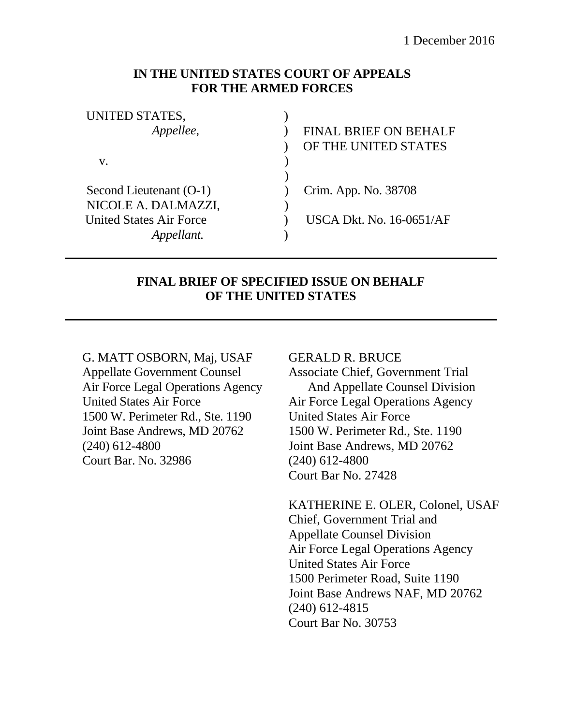### **IN THE UNITED STATES COURT OF APPEALS FOR THE ARMED FORCES**

| UNITED STATES,                 |                                 |
|--------------------------------|---------------------------------|
| Appellee,                      | <b>FINAL BRIEF ON BEHALF</b>    |
|                                | OF THE UNITED STATES            |
| v.                             |                                 |
|                                |                                 |
| Second Lieutenant (O-1)        | Crim. App. No. 38708            |
| NICOLE A. DALMAZZI,            |                                 |
| <b>United States Air Force</b> | <b>USCA Dkt. No. 16-0651/AF</b> |
|                                |                                 |

## **FINAL BRIEF OF SPECIFIED ISSUE ON BEHALF OF THE UNITED STATES**

G. MATT OSBORN, Maj, USAF Appellate Government Counsel Air Force Legal Operations Agency United States Air Force 1500 W. Perimeter Rd., Ste. 1190 Joint Base Andrews, MD 20762 (240) 612-4800 Court Bar. No. 32986

#### GERALD R. BRUCE

Associate Chief, Government Trial And Appellate Counsel Division Air Force Legal Operations Agency United States Air Force 1500 W. Perimeter Rd., Ste. 1190 Joint Base Andrews, MD 20762 (240) 612-4800 Court Bar No. 27428

KATHERINE E. OLER, Colonel, USAF Chief, Government Trial and Appellate Counsel Division Air Force Legal Operations Agency United States Air Force 1500 Perimeter Road, Suite 1190 Joint Base Andrews NAF, MD 20762 (240) 612-4815 Court Bar No. 30753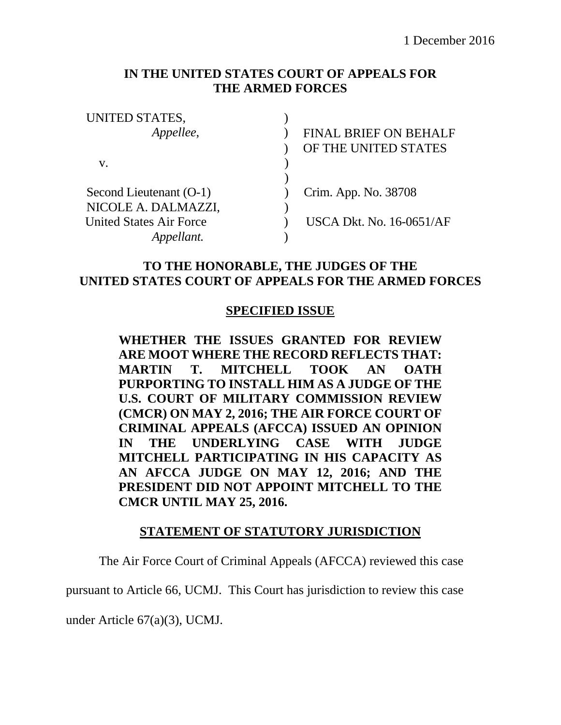## **IN THE UNITED STATES COURT OF APPEALS FOR THE ARMED FORCES**

| <b>FINAL BRIEF ON BEHALF</b>    |
|---------------------------------|
| OF THE UNITED STATES            |
|                                 |
|                                 |
| Crim. App. No. 38708            |
|                                 |
| <b>USCA Dkt. No. 16-0651/AF</b> |
|                                 |
|                                 |

## **TO THE HONORABLE, THE JUDGES OF THE UNITED STATES COURT OF APPEALS FOR THE ARMED FORCES**

### **SPECIFIED ISSUE**

**WHETHER THE ISSUES GRANTED FOR REVIEW ARE MOOT WHERE THE RECORD REFLECTS THAT: MARTIN T. MITCHELL TOOK AN OATH PURPORTING TO INSTALL HIM AS A JUDGE OF THE U.S. COURT OF MILITARY COMMISSION REVIEW (CMCR) ON MAY 2, 2016; THE AIR FORCE COURT OF CRIMINAL APPEALS (AFCCA) ISSUED AN OPINION IN THE UNDERLYING CASE WITH JUDGE MITCHELL PARTICIPATING IN HIS CAPACITY AS AN AFCCA JUDGE ON MAY 12, 2016; AND THE PRESIDENT DID NOT APPOINT MITCHELL TO THE CMCR UNTIL MAY 25, 2016.** 

### **STATEMENT OF STATUTORY JURISDICTION**

The Air Force Court of Criminal Appeals (AFCCA) reviewed this case

pursuant to Article 66, UCMJ. This Court has jurisdiction to review this case

under Article 67(a)(3), UCMJ.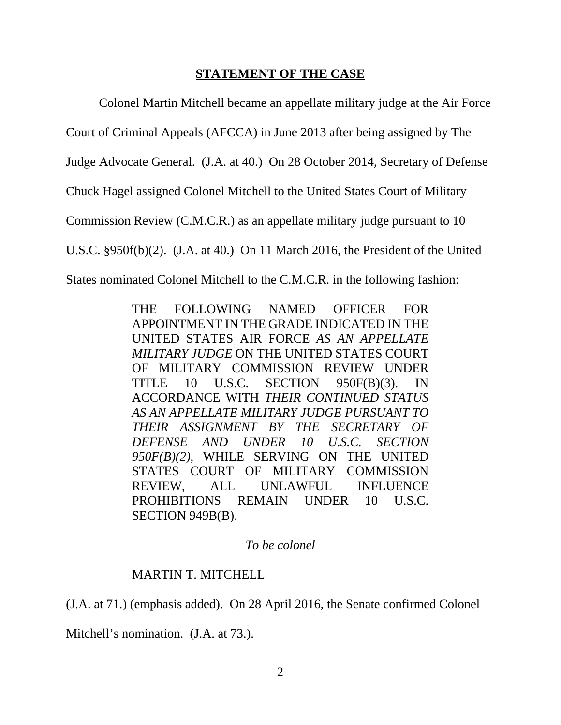### **STATEMENT OF THE CASE**

Colonel Martin Mitchell became an appellate military judge at the Air Force

Court of Criminal Appeals (AFCCA) in June 2013 after being assigned by The

Judge Advocate General. (J.A. at 40.) On 28 October 2014, Secretary of Defense

Chuck Hagel assigned Colonel Mitchell to the United States Court of Military

Commission Review (C.M.C.R.) as an appellate military judge pursuant to 10

U.S.C. §950f(b)(2). (J.A. at 40.) On 11 March 2016, the President of the United

States nominated Colonel Mitchell to the C.M.C.R. in the following fashion:

THE FOLLOWING NAMED OFFICER FOR APPOINTMENT IN THE GRADE INDICATED IN THE UNITED STATES AIR FORCE *AS AN APPELLATE MILITARY JUDGE* ON THE UNITED STATES COURT OF MILITARY COMMISSION REVIEW UNDER TITLE 10 U.S.C. SECTION 950F(B)(3). IN ACCORDANCE WITH *THEIR CONTINUED STATUS AS AN APPELLATE MILITARY JUDGE PURSUANT TO THEIR ASSIGNMENT BY THE SECRETARY OF DEFENSE AND UNDER 10 U.S.C. SECTION 950F(B)(2)*, WHILE SERVING ON THE UNITED STATES COURT OF MILITARY COMMISSION REVIEW, ALL UNLAWFUL INFLUENCE PROHIBITIONS REMAIN UNDER 10 U.S.C. SECTION 949B(B).

### *To be colonel*

## MARTIN T. MITCHELL

(J.A. at 71.) (emphasis added). On 28 April 2016, the Senate confirmed Colonel

Mitchell's nomination. (J.A. at 73.).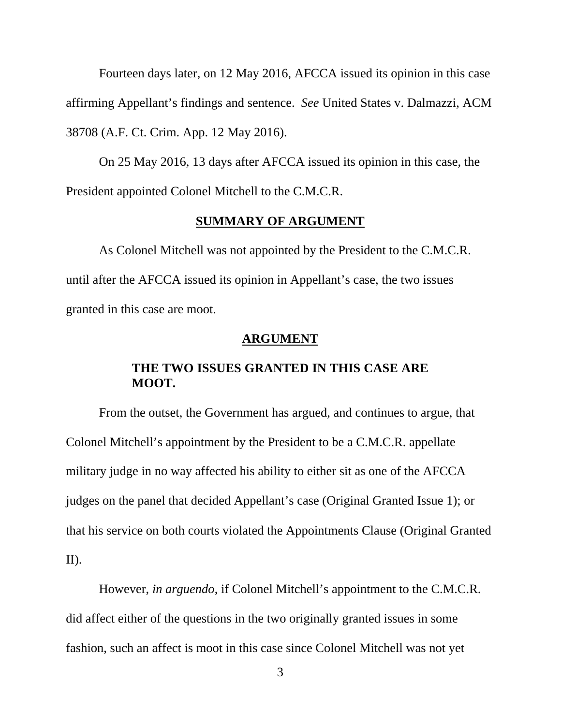Fourteen days later, on 12 May 2016, AFCCA issued its opinion in this case affirming Appellant's findings and sentence. *See* United States v. Dalmazzi, ACM 38708 (A.F. Ct. Crim. App. 12 May 2016).

On 25 May 2016, 13 days after AFCCA issued its opinion in this case, the President appointed Colonel Mitchell to the C.M.C.R.

#### **SUMMARY OF ARGUMENT**

As Colonel Mitchell was not appointed by the President to the C.M.C.R. until after the AFCCA issued its opinion in Appellant's case, the two issues granted in this case are moot.

#### **ARGUMENT**

### **THE TWO ISSUES GRANTED IN THIS CASE ARE MOOT.**

From the outset, the Government has argued, and continues to argue, that Colonel Mitchell's appointment by the President to be a C.M.C.R. appellate military judge in no way affected his ability to either sit as one of the AFCCA judges on the panel that decided Appellant's case (Original Granted Issue 1); or that his service on both courts violated the Appointments Clause (Original Granted II).

However, *in arguendo*, if Colonel Mitchell's appointment to the C.M.C.R. did affect either of the questions in the two originally granted issues in some fashion, such an affect is moot in this case since Colonel Mitchell was not yet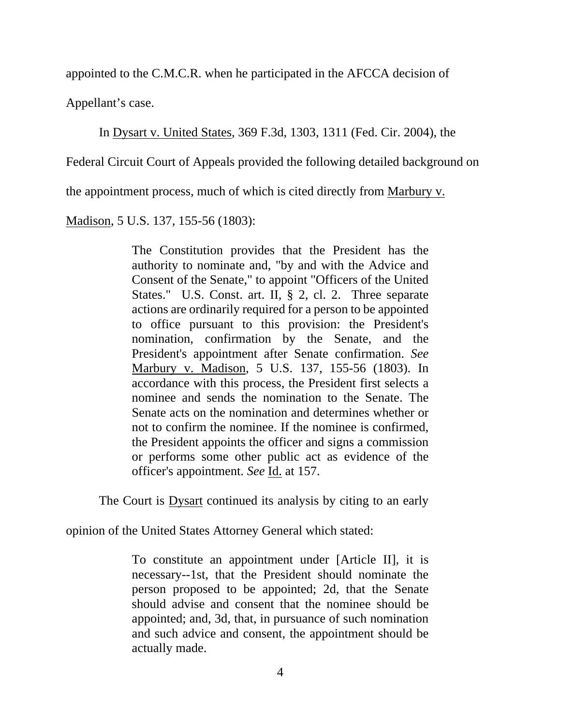appointed to the C.M.C.R. when he participated in the AFCCA decision of

Appellant's case.

In Dysart v. United States, 369 F.3d, 1303, 1311 (Fed. Cir. 2004), the

Federal Circuit Court of Appeals provided the following detailed background on

the appointment process, much of which is cited directly from Marbury v.

Madison, 5 U.S. 137, 155-56 (1803):

The Constitution provides that the President has the authority to nominate and, "by and with the Advice and Consent of the Senate," to appoint "Officers of the United States." U.S. Const. art. II, § 2, cl. 2. Three separate actions are ordinarily required for a person to be appointed to office pursuant to this provision: the President's nomination, confirmation by the Senate, and the President's appointment after Senate confirmation. *See*  Marbury v. Madison, 5 U.S. 137, 155-56 (1803). In accordance with this process, the President first selects a nominee and sends the nomination to the Senate. The Senate acts on the nomination and determines whether or not to confirm the nominee. If the nominee is confirmed, the President appoints the officer and signs a commission or performs some other public act as evidence of the officer's appointment. *See* Id. at 157.

The Court is **Dysart** continued its analysis by citing to an early

opinion of the United States Attorney General which stated:

To constitute an appointment under [Article II], it is necessary--1st, that the President should nominate the person proposed to be appointed; 2d, that the Senate should advise and consent that the nominee should be appointed; and, 3d, that, in pursuance of such nomination and such advice and consent, the appointment should be actually made.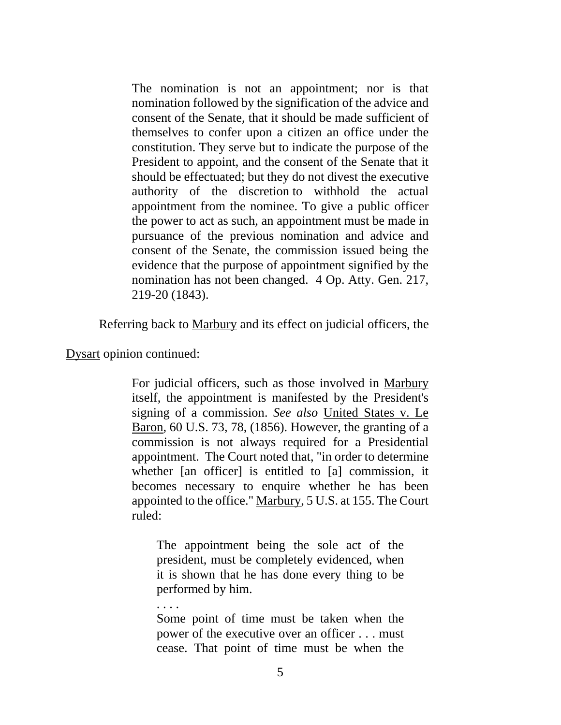The nomination is not an appointment; nor is that nomination followed by the signification of the advice and consent of the Senate, that it should be made sufficient of themselves to confer upon a citizen an office under the constitution. They serve but to indicate the purpose of the President to appoint, and the consent of the Senate that it should be effectuated; but they do not divest the executive authority of the discretion to withhold the actual appointment from the nominee. To give a public officer the power to act as such, an appointment must be made in pursuance of the previous nomination and advice and consent of the Senate, the commission issued being the evidence that the purpose of appointment signified by the nomination has not been changed. 4 Op. Atty. Gen. 217, 219-20 (1843).

Referring back to Marbury and its effect on judicial officers, the

Dysart opinion continued:

. . . .

For judicial officers, such as those involved in Marbury itself, the appointment is manifested by the President's signing of a commission. *See also* United States v. Le Baron, 60 U.S. 73, 78, (1856). However, the granting of a commission is not always required for a Presidential appointment. The Court noted that, "in order to determine whether [an officer] is entitled to [a] commission, it becomes necessary to enquire whether he has been appointed to the office." Marbury, 5 U.S. at 155. The Court ruled:

The appointment being the sole act of the president, must be completely evidenced, when it is shown that he has done every thing to be performed by him.

Some point of time must be taken when the power of the executive over an officer . . . must cease. That point of time must be when the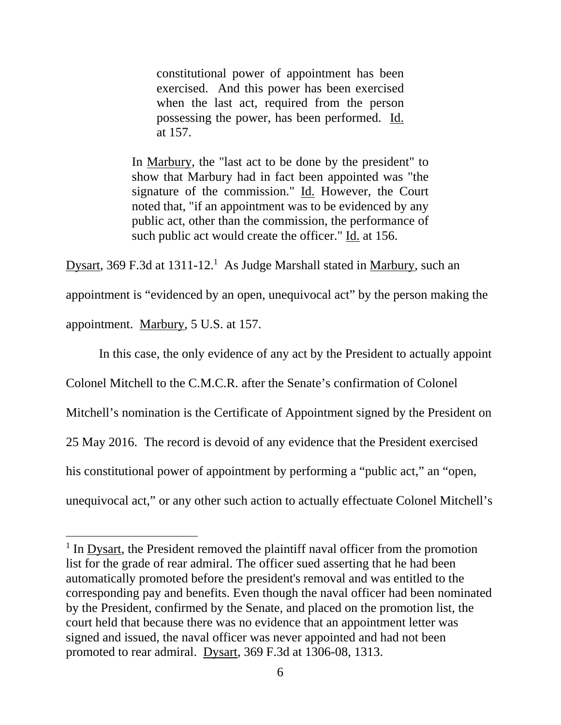constitutional power of appointment has been exercised. And this power has been exercised when the last act, required from the person possessing the power, has been performed. Id. at 157.

In Marbury, the "last act to be done by the president" to show that Marbury had in fact been appointed was "the signature of the commission." Id. However, the Court noted that, "if an appointment was to be evidenced by any public act, other than the commission, the performance of such public act would create the officer." Id. at 156.

Dysart, 369 F.3d at 1311-12.<sup>1</sup> As Judge Marshall stated in Marbury, such an

appointment is "evidenced by an open, unequivocal act" by the person making the

appointment. Marbury, 5 U.S. at 157.

 $\overline{a}$ 

In this case, the only evidence of any act by the President to actually appoint

Colonel Mitchell to the C.M.C.R. after the Senate's confirmation of Colonel

Mitchell's nomination is the Certificate of Appointment signed by the President on

25 May 2016. The record is devoid of any evidence that the President exercised

his constitutional power of appointment by performing a "public act," an "open,

unequivocal act," or any other such action to actually effectuate Colonel Mitchell's

<sup>&</sup>lt;sup>1</sup> In <u>Dysart</u>, the President removed the plaintiff naval officer from the promotion list for the grade of rear admiral. The officer sued asserting that he had been automatically promoted before the president's removal and was entitled to the corresponding pay and benefits. Even though the naval officer had been nominated by the President, confirmed by the Senate, and placed on the promotion list, the court held that because there was no evidence that an appointment letter was signed and issued, the naval officer was never appointed and had not been promoted to rear admiral. Dysart, 369 F.3d at 1306-08, 1313.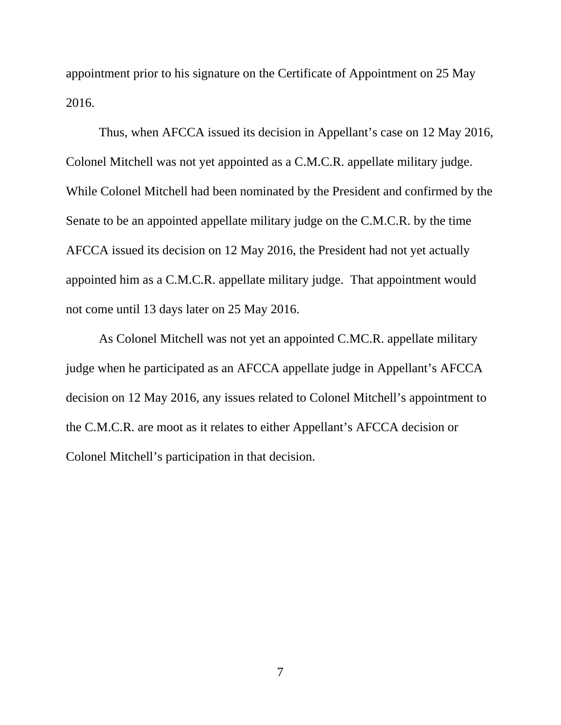appointment prior to his signature on the Certificate of Appointment on 25 May 2016.

Thus, when AFCCA issued its decision in Appellant's case on 12 May 2016, Colonel Mitchell was not yet appointed as a C.M.C.R. appellate military judge. While Colonel Mitchell had been nominated by the President and confirmed by the Senate to be an appointed appellate military judge on the C.M.C.R. by the time AFCCA issued its decision on 12 May 2016, the President had not yet actually appointed him as a C.M.C.R. appellate military judge. That appointment would not come until 13 days later on 25 May 2016.

As Colonel Mitchell was not yet an appointed C.MC.R. appellate military judge when he participated as an AFCCA appellate judge in Appellant's AFCCA decision on 12 May 2016, any issues related to Colonel Mitchell's appointment to the C.M.C.R. are moot as it relates to either Appellant's AFCCA decision or Colonel Mitchell's participation in that decision.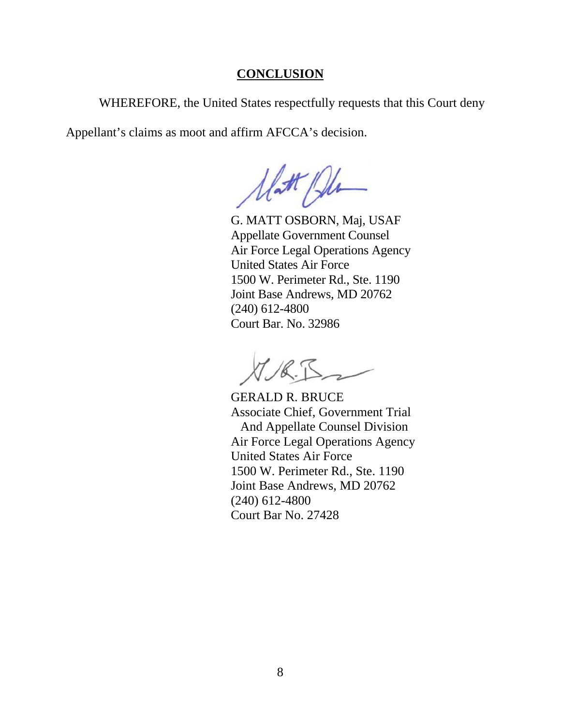### **CONCLUSION**

WHEREFORE, the United States respectfully requests that this Court deny

Appellant's claims as moot and affirm AFCCA's decision.

Unt Pl

 G. MATT OSBORN, Maj, USAF Appellate Government Counsel Air Force Legal Operations Agency United States Air Force 1500 W. Perimeter Rd., Ste. 1190 Joint Base Andrews, MD 20762 (240) 612-4800 Court Bar. No. 32986

GERALD R. BRUCE Associate Chief, Government Trial And Appellate Counsel Division Air Force Legal Operations Agency United States Air Force 1500 W. Perimeter Rd., Ste. 1190 Joint Base Andrews, MD 20762 (240) 612-4800 Court Bar No. 27428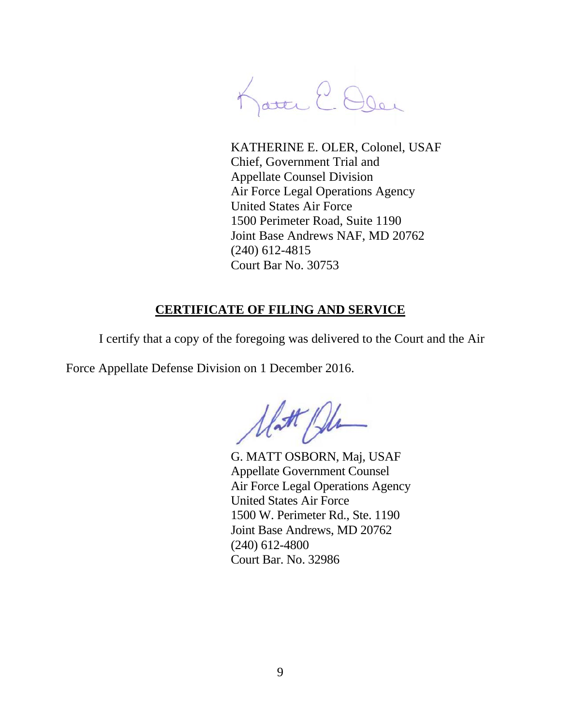Katte E. Oler

KATHERINE E. OLER, Colonel, USAF Chief, Government Trial and Appellate Counsel Division Air Force Legal Operations Agency United States Air Force 1500 Perimeter Road, Suite 1190 Joint Base Andrews NAF, MD 20762 (240) 612-4815 Court Bar No. 30753

## **CERTIFICATE OF FILING AND SERVICE**

I certify that a copy of the foregoing was delivered to the Court and the Air

Force Appellate Defense Division on 1 December 2016.

Matt Ph

 G. MATT OSBORN, Maj, USAF Appellate Government Counsel Air Force Legal Operations Agency United States Air Force 1500 W. Perimeter Rd., Ste. 1190 Joint Base Andrews, MD 20762 (240) 612-4800 Court Bar. No. 32986